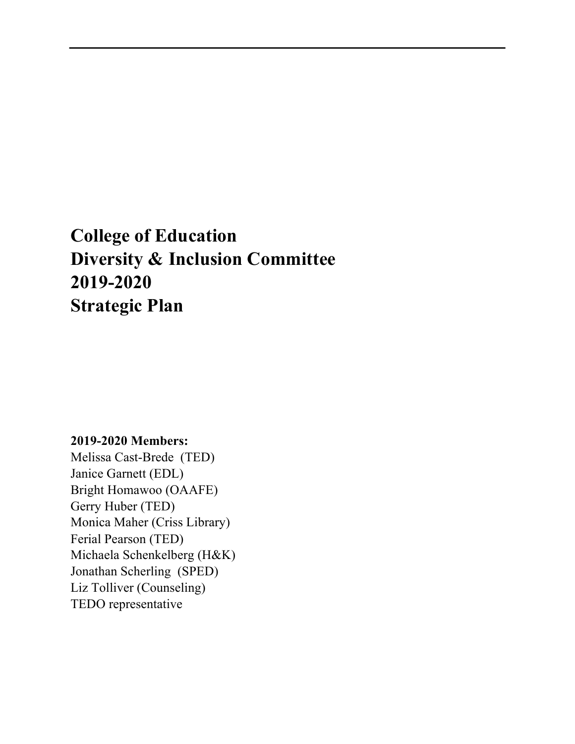# **College of Education Diversity & Inclusion Committee 2019-2020 Strategic Plan**

# **2019-2020 Members:**

Melissa Cast-Brede (TED) Janice Garnett (EDL) Bright Homawoo (OAAFE) Gerry Huber (TED) Monica Maher (Criss Library) Ferial Pearson (TED) Michaela Schenkelberg (H&K) Jonathan Scherling (SPED) Liz Tolliver (Counseling) TEDO representative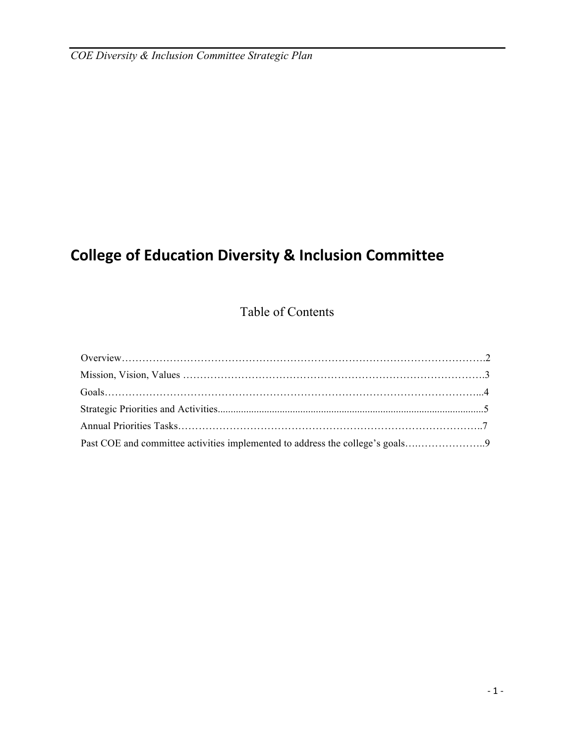# **College of Education Diversity & Inclusion Committee**

# Table of Contents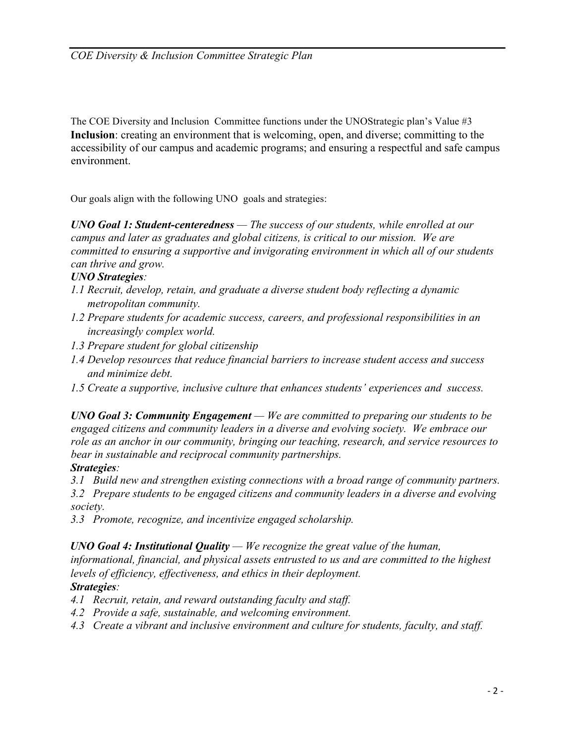The COE Diversity and Inclusion Committee functions under the UNOStrategic plan's Value #3 **Inclusion**: creating an environment that is welcoming, open, and diverse; committing to the accessibility of our campus and academic programs; and ensuring a respectful and safe campus environment.

Our goals align with the following UNO goals and strategies:

*UNO Goal 1: Student-centeredness — The success of our students, while enrolled at our campus and later as graduates and global citizens, is critical to our mission. We are committed to ensuring a supportive and invigorating environment in which all of our students can thrive and grow.*

### *UNO Strategies:*

- *1.1 Recruit, develop, retain, and graduate a diverse student body reflecting a dynamic metropolitan community.*
- *1.2 Prepare students for academic success, careers, and professional responsibilities in an increasingly complex world.*
- *1.3 Prepare student for global citizenship*
- *1.4 Develop resources that reduce financial barriers to increase student access and success and minimize debt.*
- *1.5 Create a supportive, inclusive culture that enhances students' experiences and success.*

*UNO Goal 3: Community Engagement — We are committed to preparing our students to be engaged citizens and community leaders in a diverse and evolving society. We embrace our role as an anchor in our community, bringing our teaching, research, and service resources to bear in sustainable and reciprocal community partnerships.*

# *Strategies:*

*3.1 Build new and strengthen existing connections with a broad range of community partners.*

*3.2 Prepare students to be engaged citizens and community leaders in a diverse and evolving society.*

*3.3 Promote, recognize, and incentivize engaged scholarship.*

# *UNO Goal 4: Institutional Quality — We recognize the great value of the human,*

*informational, financial, and physical assets entrusted to us and are committed to the highest levels of efficiency, effectiveness, and ethics in their deployment.* 

# *Strategies:*

- *4.1 Recruit, retain, and reward outstanding faculty and staff.*
- *4.2 Provide a safe, sustainable, and welcoming environment.*
- *4.3 Create a vibrant and inclusive environment and culture for students, faculty, and staff.*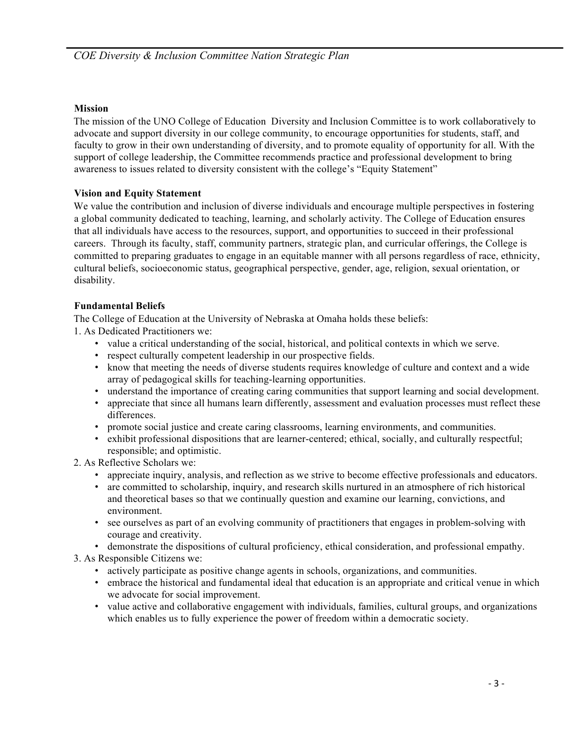#### **Mission**

The mission of the UNO College of Education Diversity and Inclusion Committee is to work collaboratively to advocate and support diversity in our college community, to encourage opportunities for students, staff, and faculty to grow in their own understanding of diversity, and to promote equality of opportunity for all. With the support of college leadership, the Committee recommends practice and professional development to bring awareness to issues related to diversity consistent with the college's "Equity Statement"

#### **Vision and Equity Statement**

We value the contribution and inclusion of diverse individuals and encourage multiple perspectives in fostering a global community dedicated to teaching, learning, and scholarly activity. The College of Education ensures that all individuals have access to the resources, support, and opportunities to succeed in their professional careers. Through its faculty, staff, community partners, strategic plan, and curricular offerings, the College is committed to preparing graduates to engage in an equitable manner with all persons regardless of race, ethnicity, cultural beliefs, socioeconomic status, geographical perspective, gender, age, religion, sexual orientation, or disability.

#### **Fundamental Beliefs**

The College of Education at the University of Nebraska at Omaha holds these beliefs:

1. As Dedicated Practitioners we:

- value a critical understanding of the social, historical, and political contexts in which we serve.
- respect culturally competent leadership in our prospective fields.
- know that meeting the needs of diverse students requires knowledge of culture and context and a wide array of pedagogical skills for teaching-learning opportunities.
- understand the importance of creating caring communities that support learning and social development.
- appreciate that since all humans learn differently, assessment and evaluation processes must reflect these differences.
- promote social justice and create caring classrooms, learning environments, and communities.
- exhibit professional dispositions that are learner-centered; ethical, socially, and culturally respectful; responsible; and optimistic.
- 2. As Reflective Scholars we:
	- appreciate inquiry, analysis, and reflection as we strive to become effective professionals and educators.
	- are committed to scholarship, inquiry, and research skills nurtured in an atmosphere of rich historical and theoretical bases so that we continually question and examine our learning, convictions, and environment.
	- see ourselves as part of an evolving community of practitioners that engages in problem-solving with courage and creativity.
	- demonstrate the dispositions of cultural proficiency, ethical consideration, and professional empathy.
- 3. As Responsible Citizens we:
	- actively participate as positive change agents in schools, organizations, and communities.
	- embrace the historical and fundamental ideal that education is an appropriate and critical venue in which we advocate for social improvement.
	- value active and collaborative engagement with individuals, families, cultural groups, and organizations which enables us to fully experience the power of freedom within a democratic society.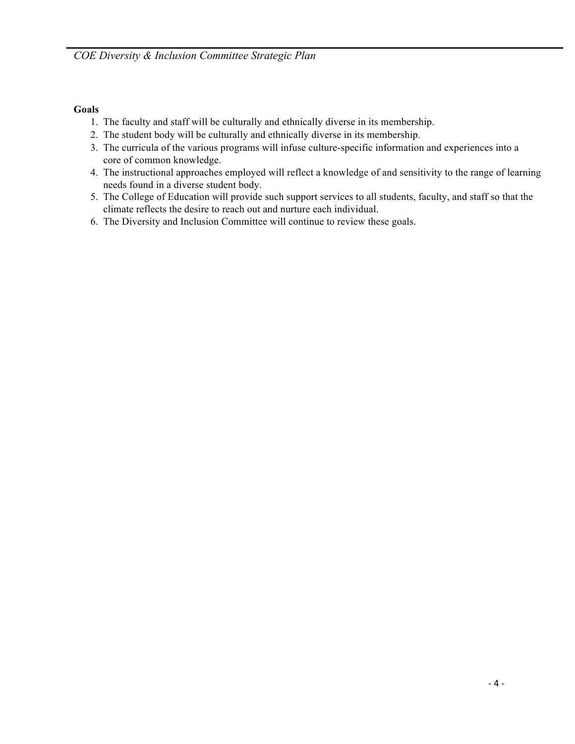#### **Goals**

- 1. The faculty and staff will be culturally and ethnically diverse in its membership.
- 2. The student body will be culturally and ethnically diverse in its membership.
- 3. The curricula of the various programs will infuse culture-specific information and experiences into a core of common knowledge.
- 4. The instructional approaches employed will reflect a knowledge of and sensitivity to the range of learning needs found in a diverse student body.
- 5. The College of Education will provide such support services to all students, faculty, and staff so that the climate reflects the desire to reach out and nurture each individual.
- 6. The Diversity and Inclusion Committee will continue to review these goals.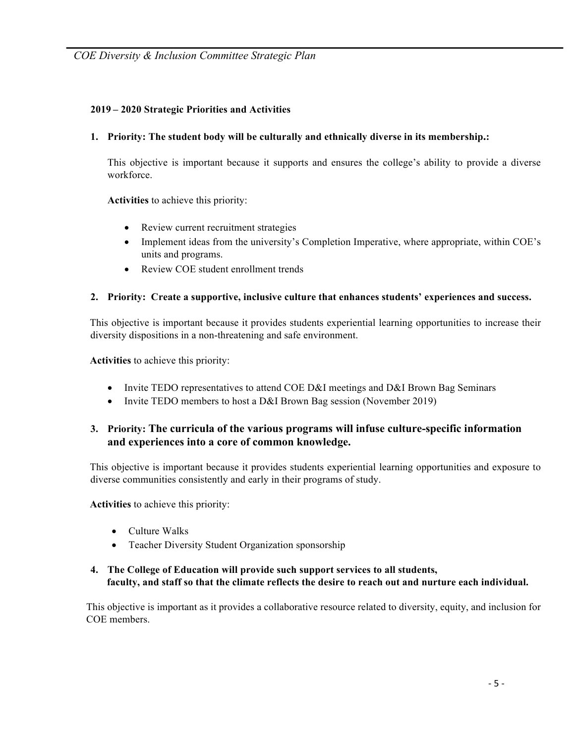#### **2019 – 2020 Strategic Priorities and Activities**

#### **1. Priority: The student body will be culturally and ethnically diverse in its membership.:**

This objective is important because it supports and ensures the college's ability to provide a diverse workforce.

**Activities** to achieve this priority:

- Review current recruitment strategies
- Implement ideas from the university's Completion Imperative, where appropriate, within COE's units and programs.
- Review COE student enrollment trends

#### **2. Priority: Create a supportive, inclusive culture that enhances students' experiences and success.**

This objective is important because it provides students experiential learning opportunities to increase their diversity dispositions in a non-threatening and safe environment.

**Activities** to achieve this priority:

- Invite TEDO representatives to attend COE D&I meetings and D&I Brown Bag Seminars
- Invite TEDO members to host a D&I Brown Bag session (November 2019)

# **3. Priority: The curricula of the various programs will infuse culture-specific information and experiences into a core of common knowledge.**

This objective is important because it provides students experiential learning opportunities and exposure to diverse communities consistently and early in their programs of study.

**Activities** to achieve this priority:

- Culture Walks
- Teacher Diversity Student Organization sponsorship

#### **4. The College of Education will provide such support services to all students, faculty, and staff so that the climate reflects the desire to reach out and nurture each individual.**

This objective is important as it provides a collaborative resource related to diversity, equity, and inclusion for COE members.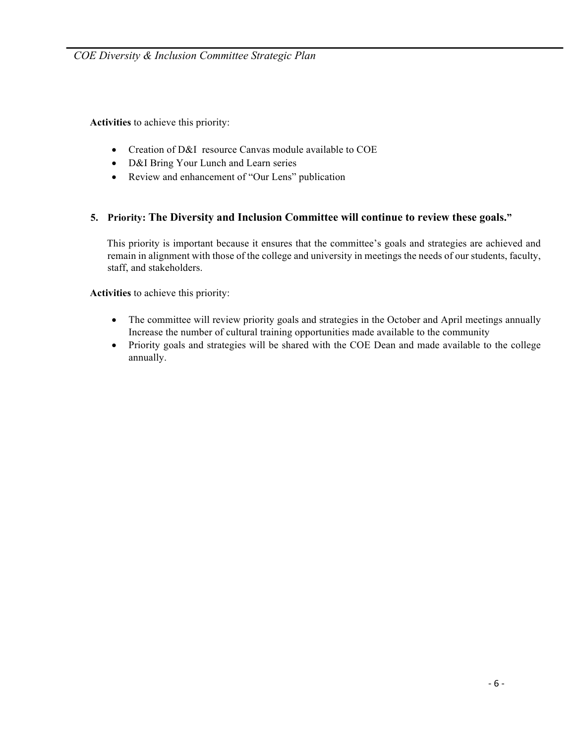**Activities** to achieve this priority:

- Creation of D&I resource Canvas module available to COE
- D&I Bring Your Lunch and Learn series
- Review and enhancement of "Our Lens" publication

#### **5. Priority: The Diversity and Inclusion Committee will continue to review these goals."**

This priority is important because it ensures that the committee's goals and strategies are achieved and remain in alignment with those of the college and university in meetings the needs of our students, faculty, staff, and stakeholders.

**Activities** to achieve this priority:

- The committee will review priority goals and strategies in the October and April meetings annually Increase the number of cultural training opportunities made available to the community
- Priority goals and strategies will be shared with the COE Dean and made available to the college annually.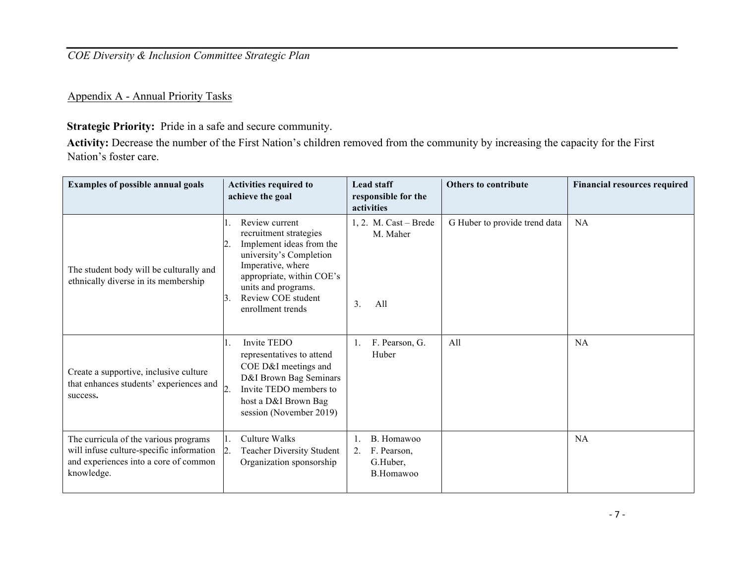*COE Diversity & Inclusion Committee Strategic Plan*

Appendix A - Annual Priority Tasks

**Strategic Priority:** Pride in a safe and secure community.

**Activity:** Decrease the number of the First Nation's children removed from the community by increasing the capacity for the First Nation's foster care.

| <b>Examples of possible annual goals</b>                                                                                                 | <b>Activities required to</b><br>achieve the goal                                                                                                                                                                          | <b>Lead staff</b><br>responsible for the<br>activities   | <b>Others to contribute</b>   | <b>Financial resources required</b> |
|------------------------------------------------------------------------------------------------------------------------------------------|----------------------------------------------------------------------------------------------------------------------------------------------------------------------------------------------------------------------------|----------------------------------------------------------|-------------------------------|-------------------------------------|
| The student body will be culturally and<br>ethnically diverse in its membership                                                          | Review current<br>recruitment strategies<br>Implement ideas from the<br>university's Completion<br>Imperative, where<br>appropriate, within COE's<br>units and programs.<br>Review COE student<br>13.<br>enrollment trends | 1, 2. M. $Cast - Brede$<br>M. Maher<br>All<br>3.         | G Huber to provide trend data | <b>NA</b>                           |
| Create a supportive, inclusive culture<br>that enhances students' experiences and<br>success.                                            | Invite TEDO<br>representatives to attend<br>COE D&I meetings and<br>D&I Brown Bag Seminars<br>Invite TEDO members to<br>host a D&I Brown Bag<br>session (November 2019)                                                    | F. Pearson, G.<br>Huber                                  | All                           | <b>NA</b>                           |
| The curricula of the various programs<br>will infuse culture-specific information<br>and experiences into a core of common<br>knowledge. | Culture Walks<br><b>Teacher Diversity Student</b><br>Organization sponsorship                                                                                                                                              | B. Homawoo<br>F. Pearson,<br>2.<br>G.Huber,<br>B.Homawoo |                               | <b>NA</b>                           |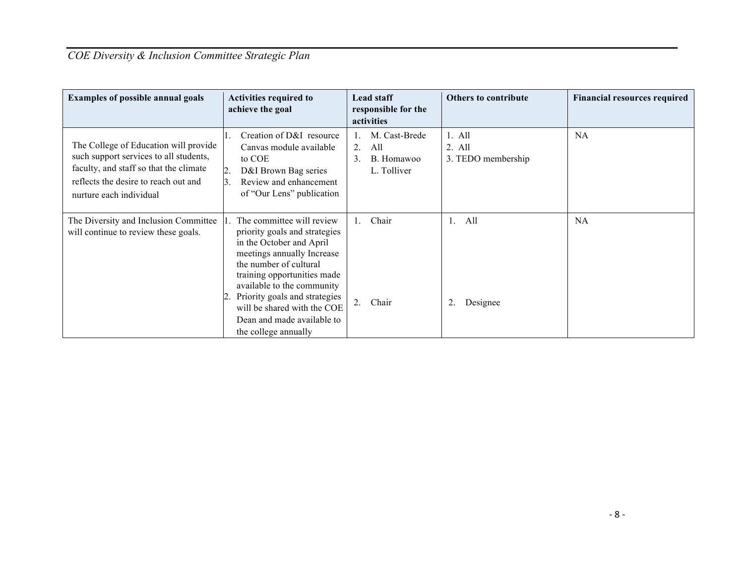# *COE Diversity & Inclusion Committee Strategic Plan*

| <b>Examples of possible annual goals</b>                                                                                                                                                     | <b>Activities required to</b><br>achieve the goal                                                                                                                                                                                                                                                                                 | <b>Lead staff</b><br>responsible for the<br>activities                        | <b>Others to contribute</b>                | <b>Financial resources required</b> |
|----------------------------------------------------------------------------------------------------------------------------------------------------------------------------------------------|-----------------------------------------------------------------------------------------------------------------------------------------------------------------------------------------------------------------------------------------------------------------------------------------------------------------------------------|-------------------------------------------------------------------------------|--------------------------------------------|-------------------------------------|
| The College of Education will provide<br>such support services to all students,<br>faculty, and staff so that the climate<br>reflects the desire to reach out and<br>nurture each individual | Creation of D&I resource<br>Canvas module available<br>to COE<br>$\overline{2}$<br>D&I Brown Bag series<br>Review and enhancement<br>13.<br>of "Our Lens" publication                                                                                                                                                             | M. Cast-Brede<br>All<br>$2_{-}$<br>B. Homawoo<br>$\mathcal{E}$<br>L. Tolliver | $1.$ All<br>$2.$ All<br>3. TEDO membership | <b>NA</b>                           |
| The Diversity and Inclusion Committee<br>will continue to review these goals.                                                                                                                | The committee will review<br>priority goals and strategies<br>in the October and April<br>meetings annually Increase<br>the number of cultural<br>training opportunities made<br>available to the community<br>Priority goals and strategies<br>will be shared with the COE<br>Dean and made available to<br>the college annually | Chair<br>1.<br>Chair                                                          | All<br>$\mathbf{1}$ .<br>2.<br>Designee    | <b>NA</b>                           |